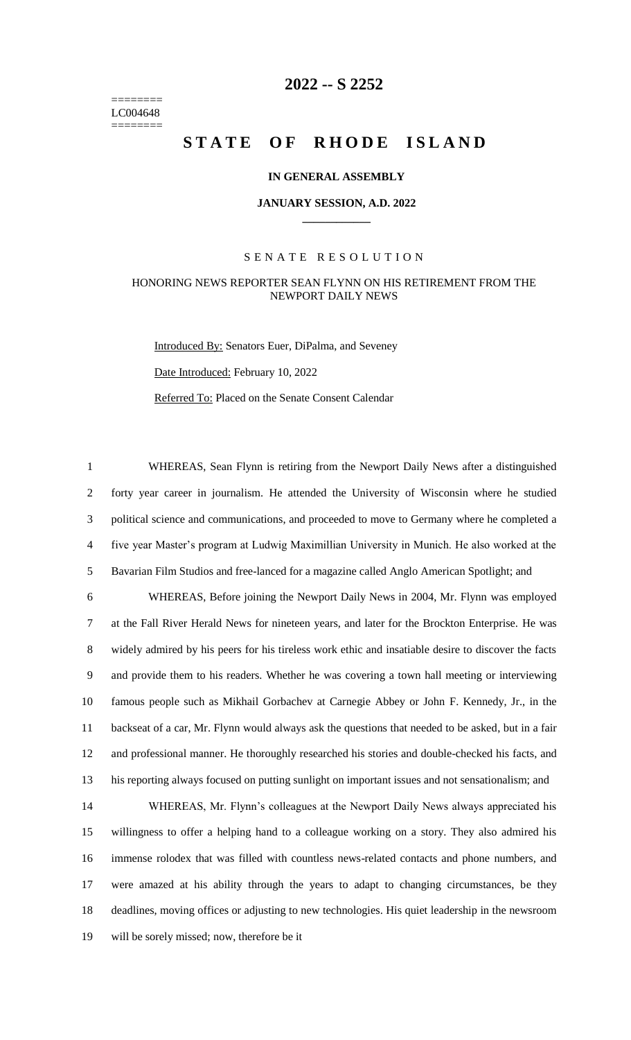======== LC004648 ========

# **-- S 2252**

# **STATE OF RHODE ISLAND**

#### **IN GENERAL ASSEMBLY**

#### **JANUARY SESSION, A.D. 2022 \_\_\_\_\_\_\_\_\_\_\_\_**

#### S E N A T E R E S O L U T I O N

### HONORING NEWS REPORTER SEAN FLYNN ON HIS RETIREMENT FROM THE NEWPORT DAILY NEWS

Introduced By: Senators Euer, DiPalma, and Seveney Date Introduced: February 10, 2022 Referred To: Placed on the Senate Consent Calendar

 WHEREAS, Sean Flynn is retiring from the Newport Daily News after a distinguished forty year career in journalism. He attended the University of Wisconsin where he studied political science and communications, and proceeded to move to Germany where he completed a five year Master's program at Ludwig Maximillian University in Munich. He also worked at the Bavarian Film Studios and free-lanced for a magazine called Anglo American Spotlight; and

 WHEREAS, Before joining the Newport Daily News in 2004, Mr. Flynn was employed at the Fall River Herald News for nineteen years, and later for the Brockton Enterprise. He was widely admired by his peers for his tireless work ethic and insatiable desire to discover the facts and provide them to his readers. Whether he was covering a town hall meeting or interviewing famous people such as Mikhail Gorbachev at Carnegie Abbey or John F. Kennedy, Jr., in the backseat of a car, Mr. Flynn would always ask the questions that needed to be asked, but in a fair and professional manner. He thoroughly researched his stories and double-checked his facts, and his reporting always focused on putting sunlight on important issues and not sensationalism; and

 WHEREAS, Mr. Flynn's colleagues at the Newport Daily News always appreciated his willingness to offer a helping hand to a colleague working on a story. They also admired his immense rolodex that was filled with countless news-related contacts and phone numbers, and were amazed at his ability through the years to adapt to changing circumstances, be they deadlines, moving offices or adjusting to new technologies. His quiet leadership in the newsroom will be sorely missed; now, therefore be it